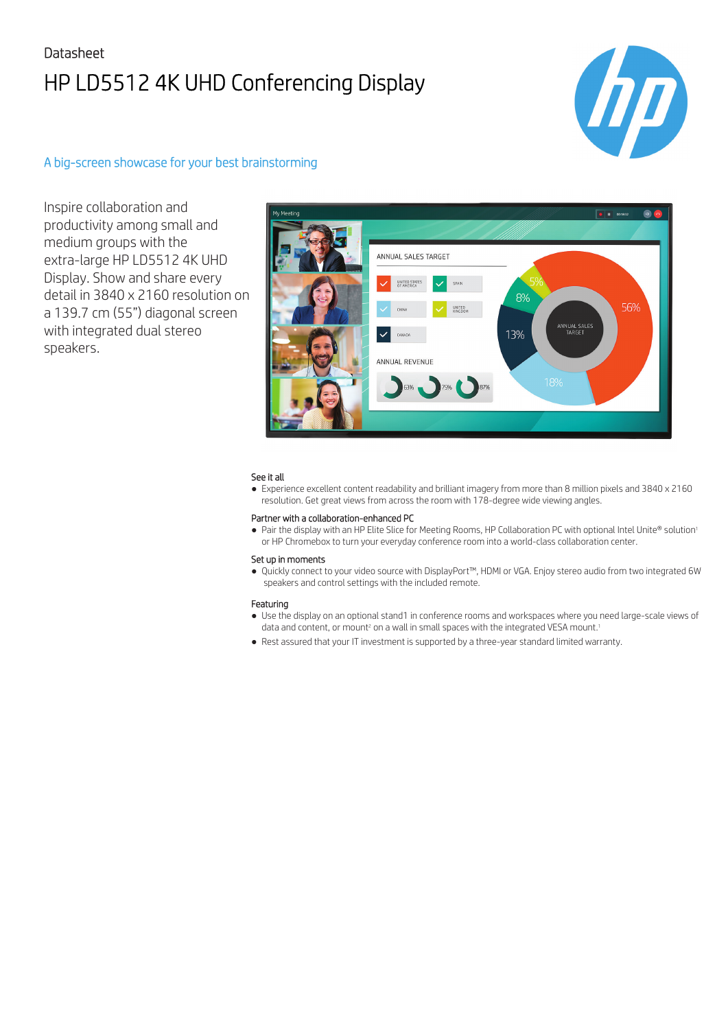# Datasheet HP LD5512 4K UHD Conferencing Display



### A big-screen showcase for your best brainstorming

Inspire collaboration and productivity among small and medium groups with the extra-large HP LD5512 4K UHD Display. Show and share every detail in 3840 x 2160 resolution on a 139.7 cm (55") diagonal screen with integrated dual stereo speakers.



### See it all

● Experience excellent content readability and brilliant imagery from more than 8 million pixels and 3840 x 2160 resolution. Get great views from across the room with 178-degree wide viewing angles.

### Partner with a collaboration-enhanced PC

● Pair the display with an HP Elite Slice for Meeting Rooms, HP Collaboration PC with optional Intel Unite® solution<sup>1</sup> or HP Chromebox to turn your everyday conference room into a world-class collaboration center.

#### Set up in moments

● Quickly connect to your video source with DisplayPort™, HDMI or VGA. Enjoy stereo audio from two integrated 6W speakers and control settings with the included remote.

#### Featuring

- Use the display on an optional stand1 in conference rooms and workspaces where you need large-scale views of data and content, or mount<sup>2</sup> on a wall in small spaces with the integrated VESA mount.<sup>1</sup>
- Rest assured that your IT investment is supported by a three-year standard limited warranty.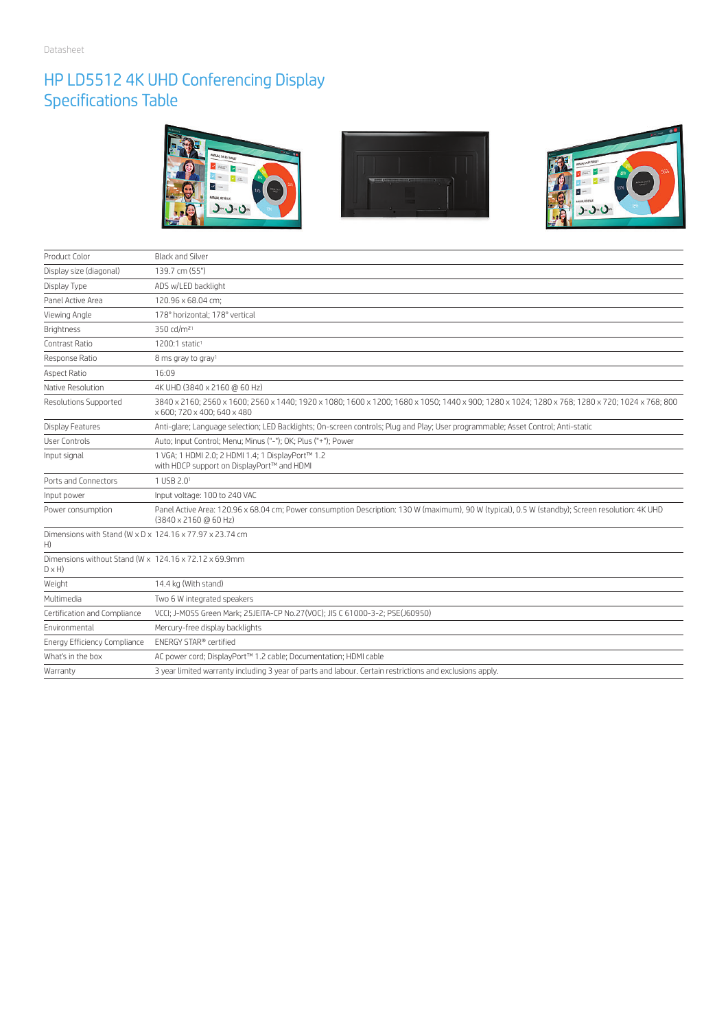### HP LD5512 4K UHD Conferencing Display Specifications Table



| Product Color                                                                              | <b>Black and Silver</b>                                                                                                                                                       |
|--------------------------------------------------------------------------------------------|-------------------------------------------------------------------------------------------------------------------------------------------------------------------------------|
| Display size (diagonal)                                                                    | 139.7 cm (55")                                                                                                                                                                |
| Display Type                                                                               | ADS w/LED backlight                                                                                                                                                           |
| Panel Active Area                                                                          | 120.96 x 68.04 cm;                                                                                                                                                            |
| Viewing Angle                                                                              | 178° horizontal; 178° vertical                                                                                                                                                |
| <b>Brightness</b>                                                                          | 350 cd/m <sup>21</sup>                                                                                                                                                        |
| Contrast Ratio                                                                             | 1200:1 static <sup>1</sup>                                                                                                                                                    |
| Response Ratio                                                                             | 8 ms gray to gray <sup>1</sup>                                                                                                                                                |
| <b>Aspect Ratio</b>                                                                        | 16:09                                                                                                                                                                         |
| Native Resolution                                                                          | 4K UHD (3840 x 2160 @ 60 Hz)                                                                                                                                                  |
| <b>Resolutions Supported</b>                                                               | 3840 x 2160; 2560 x 1600; 2560 x 1440; 1920 x 1080; 1600 x 1200; 1680 x 1050; 1440 x 900; 1280 x 1024; 1280 x 768; 1280 x 720; 1024 x 768; 800<br>x 600; 720 x 400; 640 x 480 |
| Display Features                                                                           | Anti-glare; Language selection; LED Backlights; On-screen controls; Plug and Play; User programmable; Asset Control; Anti-static                                              |
| <b>User Controls</b>                                                                       | Auto; Input Control; Menu; Minus ("-"); OK; Plus ("+"); Power                                                                                                                 |
| Input signal                                                                               | 1 VGA; 1 HDMI 2.0; 2 HDMI 1.4; 1 DisplayPort™ 1.2<br>with HDCP support on DisplayPort™ and HDMI                                                                               |
| Ports and Connectors                                                                       | 1 USB 2.01                                                                                                                                                                    |
| Input power                                                                                | Input voltage: 100 to 240 VAC                                                                                                                                                 |
| Power consumption                                                                          | Panel Active Area: 120.96 x 68.04 cm; Power consumption Description: 130 W (maximum), 90 W (typical), 0.5 W (standby); Screen resolution: 4K UHD<br>(3840 x 2160 @ 60 Hz)     |
| Dimensions with Stand (W $\times$ D $\times$ 124.16 $\times$ 77.97 $\times$ 23.74 cm<br>H) |                                                                                                                                                                               |
| Dimensions without Stand (W x 124.16 x 72.12 x 69.9mm)<br>$D \times H$                     |                                                                                                                                                                               |
| Weight                                                                                     | 14.4 kg (With stand)                                                                                                                                                          |
| Multimedia                                                                                 | Two 6 W integrated speakers                                                                                                                                                   |
| Certification and Compliance                                                               | VCCI; J-MOSS Green Mark; 25JEITA-CP No.27(VOC); JIS C 61000-3-2; PSE(J60950)                                                                                                  |
| Environmental                                                                              | Mercury-free display backlights                                                                                                                                               |
| Energy Efficiency Compliance                                                               | <b>FNFRGY STAR®</b> certified                                                                                                                                                 |
| What's in the box                                                                          | AC power cord; DisplayPort™ 1.2 cable; Documentation; HDMI cable                                                                                                              |
| Warranty                                                                                   | 3 year limited warranty including 3 year of parts and labour. Certain restrictions and exclusions apply.                                                                      |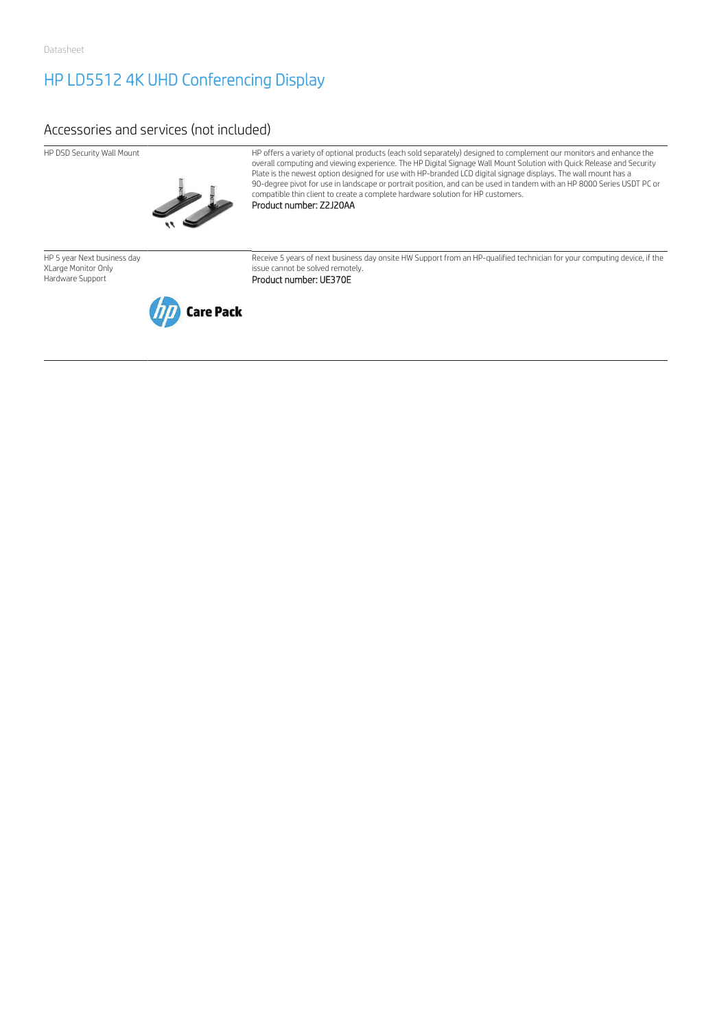## HP LD5512 4K UHD Conferencing Display

### Accessories and services (not included)



HP DSD Security Wall Mount HP offers a variety of optional products (each sold separately) designed to complement our monitors and enhance the overall computing and viewing experience. The HP Digital Signage Wall Mount Solution with Quick Release and Security Plate is the newest option designed for use with HP-branded LCD digital signage displays. The wall mount has a 90-degree pivot for use in landscape or portrait position, and can be used in tandem with an HP 8000 Series USDT PC or compatible thin client to create a complete hardware solution for HP customers.

Product number: Z2J20AA

HP 5 year Next business day XLarge Monitor Only Hardware Support



Receive 5 years of next business day onsite HW Support from an HP-qualified technician for your computing device, if the issue cannot be solved remotely.

Product number: UE370E